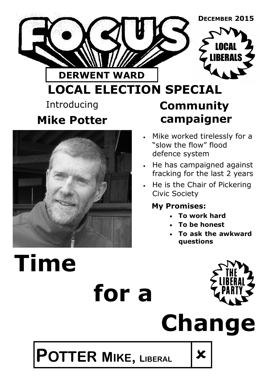



## **LOCAL ELECTION SPECIAL** Introducing **Mike Potter Community campaigner**



- He has campaigned against fracking for the last 2 years
- He is the Chair of Pickering Civic Society

## **My Promises:**

- **To work hard**
- **To be honest**
- **To ask the awkward questions**